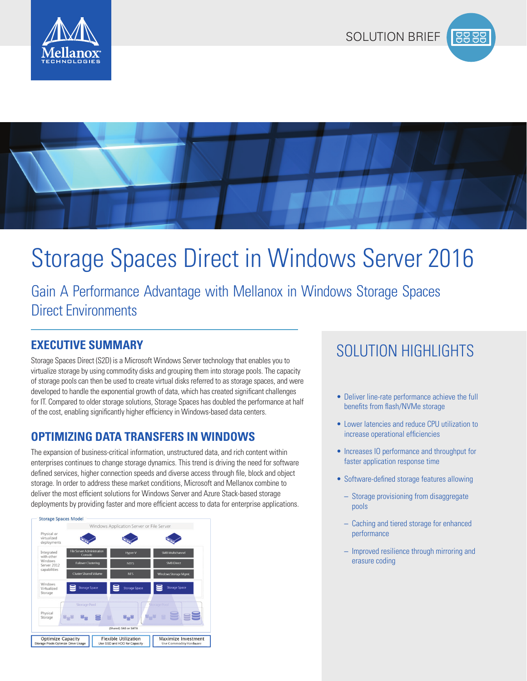

**PO DE** 



# Storage Spaces Direct in Windows Server 2016

Gain A Performance Advantage with Mellanox in Windows Storage Spaces Direct Environments

Storage Spaces Direct (S2D) is a Microsoft Windows Server technology that enables you to virtualize storage by using commodity disks and grouping them into storage pools. The capacity of storage pools can then be used to create virtual disks referred to as storage spaces, and were developed to handle the exponential growth of data, which has created significant challenges for IT. Compared to older storage solutions, Storage Spaces has doubled the performance at half of the cost, enabling significantly higher efficiency in Windows-based data centers.

#### **OPTIMIZING DATA TRANSFERS IN WINDOWS**

The expansion of business-critical information, unstructured data, and rich content within enterprises continues to change storage dynamics. This trend is driving the need for software defined services, higher connection speeds and diverse access through file, block and object storage. In order to address these market conditions, Microsoft and Mellanox combine to deliver the most efficient solutions for Windows Server and Azure Stack-based storage deployments by providing faster and more efficient access to data for enterprise applications.



## SOLUTION HIGHLIGHTS **EXECUTIVE SUMMARY**

- Deliver line-rate performance achieve the full benefits from flash/NVMe storage
- Lower latencies and reduce CPU utilization to increase operational efficiencies
- Increases IO performance and throughput for faster application response time
- Software-defined storage features allowing
	- Storage provisioning from disaggregate pools
	- Caching and tiered storage for enhanced performance
	- Improved resilience through mirroring and erasure coding